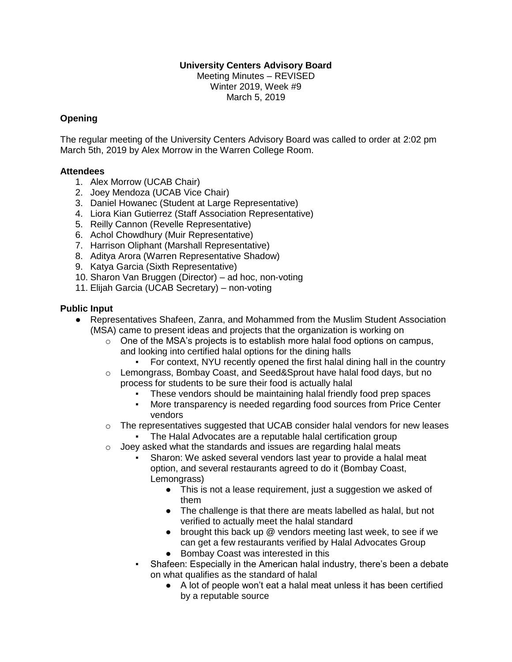### **University Centers Advisory Board**

Meeting Minutes – REVISED Winter 2019, Week #9 March 5, 2019

#### **Opening**

The regular meeting of the University Centers Advisory Board was called to order at 2:02 pm March 5th, 2019 by Alex Morrow in the Warren College Room.

#### **Attendees**

- 1. Alex Morrow (UCAB Chair)
- 2. Joey Mendoza (UCAB Vice Chair)
- 3. Daniel Howanec (Student at Large Representative)
- 4. Liora Kian Gutierrez (Staff Association Representative)
- 5. Reilly Cannon (Revelle Representative)
- 6. Achol Chowdhury (Muir Representative)
- 7. Harrison Oliphant (Marshall Representative)
- 8. Aditya Arora (Warren Representative Shadow)
- 9. Katya Garcia (Sixth Representative)
- 10. Sharon Van Bruggen (Director) ad hoc, non-voting
- 11. Elijah Garcia (UCAB Secretary) non-voting

### **Public Input**

- Representatives Shafeen, Zanra, and Mohammed from the Muslim Student Association (MSA) came to present ideas and projects that the organization is working on
	- $\circ$  One of the MSA's projects is to establish more halal food options on campus, and looking into certified halal options for the dining halls
		- For context, NYU recently opened the first halal dining hall in the country
	- o Lemongrass, Bombay Coast, and Seed&Sprout have halal food days, but no process for students to be sure their food is actually halal
		- These vendors should be maintaining halal friendly food prep spaces
		- More transparency is needed regarding food sources from Price Center vendors
	- $\circ$  The representatives suggested that UCAB consider halal vendors for new leases
		- The Halal Advocates are a reputable halal certification group
	- $\circ$  Joey asked what the standards and issues are regarding halal meats
		- Sharon: We asked several vendors last year to provide a halal meat option, and several restaurants agreed to do it (Bombay Coast, Lemongrass)
			- This is not a lease requirement, just a suggestion we asked of them
			- The challenge is that there are meats labelled as halal, but not verified to actually meet the halal standard
			- brought this back up @ vendors meeting last week, to see if we can get a few restaurants verified by Halal Advocates Group
			- Bombay Coast was interested in this
		- Shafeen: Especially in the American halal industry, there's been a debate on what qualifies as the standard of halal
			- A lot of people won't eat a halal meat unless it has been certified by a reputable source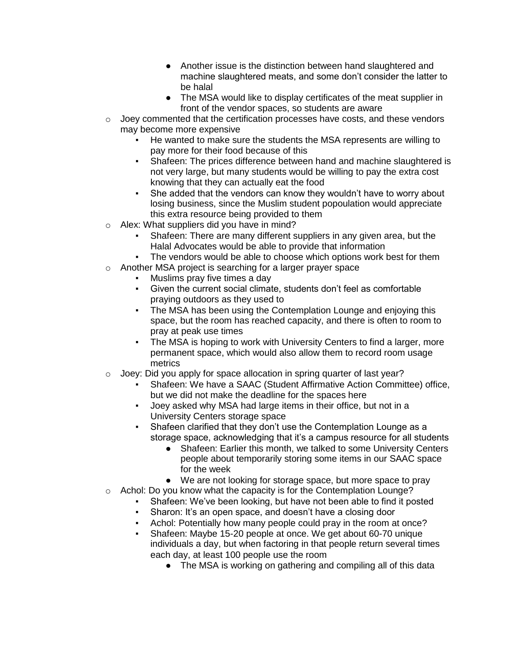- Another issue is the distinction between hand slaughtered and machine slaughtered meats, and some don't consider the latter to be halal
- The MSA would like to display certificates of the meat supplier in front of the vendor spaces, so students are aware
- $\circ$  Joey commented that the certification processes have costs, and these vendors may become more expensive
	- He wanted to make sure the students the MSA represents are willing to pay more for their food because of this
	- Shafeen: The prices difference between hand and machine slaughtered is not very large, but many students would be willing to pay the extra cost knowing that they can actually eat the food
	- She added that the vendors can know they wouldn't have to worry about losing business, since the Muslim student popoulation would appreciate this extra resource being provided to them
- o Alex: What suppliers did you have in mind?
	- Shafeen: There are many different suppliers in any given area, but the Halal Advocates would be able to provide that information
	- The vendors would be able to choose which options work best for them
- o Another MSA project is searching for a larger prayer space
	- Muslims pray five times a day
	- Given the current social climate, students don't feel as comfortable praying outdoors as they used to
	- The MSA has been using the Contemplation Lounge and enjoying this space, but the room has reached capacity, and there is often to room to pray at peak use times
	- The MSA is hoping to work with University Centers to find a larger, more permanent space, which would also allow them to record room usage metrics
- o Joey: Did you apply for space allocation in spring quarter of last year?
	- Shafeen: We have a SAAC (Student Affirmative Action Committee) office, but we did not make the deadline for the spaces here
	- Joev asked why MSA had large items in their office, but not in a University Centers storage space
	- Shafeen clarified that they don't use the Contemplation Lounge as a storage space, acknowledging that it's a campus resource for all students
		- Shafeen: Earlier this month, we talked to some University Centers people about temporarily storing some items in our SAAC space for the week
	- We are not looking for storage space, but more space to pray
- o Achol: Do you know what the capacity is for the Contemplation Lounge?
	- Shafeen: We've been looking, but have not been able to find it posted
	- Sharon: It's an open space, and doesn't have a closing door
	- Achol: Potentially how many people could pray in the room at once?
	- Shafeen: Maybe 15-20 people at once. We get about 60-70 unique individuals a day, but when factoring in that people return several times each day, at least 100 people use the room
		- The MSA is working on gathering and compiling all of this data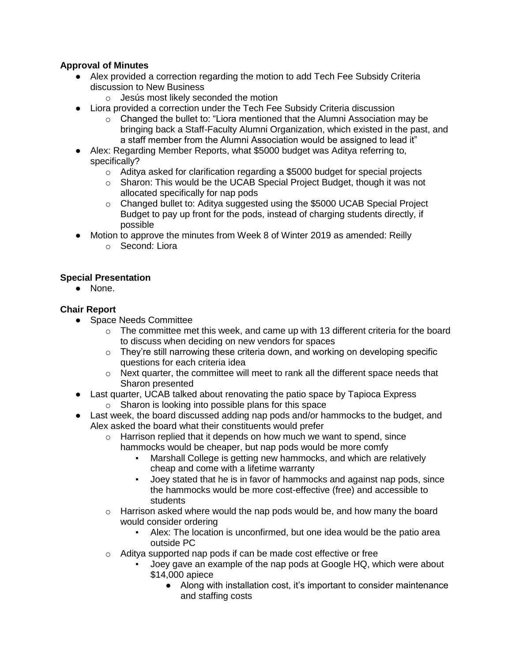# **Approval of Minutes**

- Alex provided a correction regarding the motion to add Tech Fee Subsidy Criteria discussion to New Business
	- o Jesús most likely seconded the motion
- Liora provided a correction under the Tech Fee Subsidy Criteria discussion
	- o Changed the bullet to: "Liora mentioned that the Alumni Association may be bringing back a Staff-Faculty Alumni Organization, which existed in the past, and a staff member from the Alumni Association would be assigned to lead it"
- Alex: Regarding Member Reports, what \$5000 budget was Aditya referring to, specifically?
	- o Aditya asked for clarification regarding a \$5000 budget for special projects
	- $\circ$  Sharon: This would be the UCAB Special Project Budget, though it was not allocated specifically for nap pods
	- $\circ$  Changed bullet to: Aditya suggested using the \$5000 UCAB Special Project Budget to pay up front for the pods, instead of charging students directly, if possible
- Motion to approve the minutes from Week 8 of Winter 2019 as amended: Reilly
	- o Second: Liora

# **Special Presentation**

● None.

### **Chair Report**

- Space Needs Committee
	- $\circ$  The committee met this week, and came up with 13 different criteria for the board to discuss when deciding on new vendors for spaces
	- o They're still narrowing these criteria down, and working on developing specific questions for each criteria idea
	- $\circ$  Next quarter, the committee will meet to rank all the different space needs that Sharon presented
- Last quarter, UCAB talked about renovating the patio space by Tapioca Express
	- o Sharon is looking into possible plans for this space
- Last week, the board discussed adding nap pods and/or hammocks to the budget, and Alex asked the board what their constituents would prefer
	- o Harrison replied that it depends on how much we want to spend, since hammocks would be cheaper, but nap pods would be more comfy
		- Marshall College is getting new hammocks, and which are relatively cheap and come with a lifetime warranty
		- Joey stated that he is in favor of hammocks and against nap pods, since the hammocks would be more cost-effective (free) and accessible to students
	- $\circ$  Harrison asked where would the nap pods would be, and how many the board would consider ordering
		- Alex: The location is unconfirmed, but one idea would be the patio area outside PC
	- o Aditya supported nap pods if can be made cost effective or free
		- Joey gave an example of the nap pods at Google HQ, which were about \$14,000 apiece
			- Along with installation cost, it's important to consider maintenance and staffing costs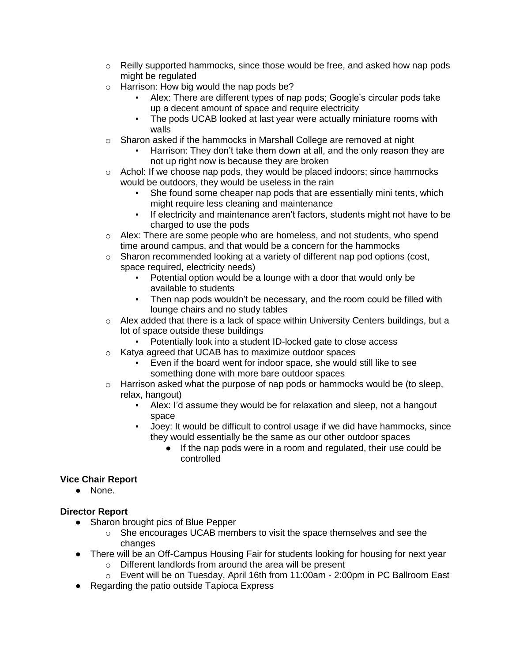- $\circ$  Reilly supported hammocks, since those would be free, and asked how nap pods might be regulated
- o Harrison: How big would the nap pods be?
	- Alex: There are different types of nap pods; Google's circular pods take up a decent amount of space and require electricity
	- The pods UCAB looked at last year were actually miniature rooms with walls
- o Sharon asked if the hammocks in Marshall College are removed at night
	- Harrison: They don't take them down at all, and the only reason they are not up right now is because they are broken
- $\circ$  Achol: If we choose nap pods, they would be placed indoors; since hammocks would be outdoors, they would be useless in the rain
	- She found some cheaper nap pods that are essentially mini tents, which might require less cleaning and maintenance
	- If electricity and maintenance aren't factors, students might not have to be charged to use the pods
- $\circ$  Alex: There are some people who are homeless, and not students, who spend time around campus, and that would be a concern for the hammocks
- $\circ$  Sharon recommended looking at a variety of different nap pod options (cost, space required, electricity needs)
	- Potential option would be a lounge with a door that would only be available to students
	- Then nap pods wouldn't be necessary, and the room could be filled with lounge chairs and no study tables
- $\circ$  Alex added that there is a lack of space within University Centers buildings, but a lot of space outside these buildings
	- Potentially look into a student ID-locked gate to close access
- o Katya agreed that UCAB has to maximize outdoor spaces
	- Even if the board went for indoor space, she would still like to see something done with more bare outdoor spaces
- $\circ$  Harrison asked what the purpose of nap pods or hammocks would be (to sleep, relax, hangout)
	- Alex: I'd assume they would be for relaxation and sleep, not a hangout space
	- Joey: It would be difficult to control usage if we did have hammocks, since they would essentially be the same as our other outdoor spaces
		- If the nap pods were in a room and regulated, their use could be controlled

# **Vice Chair Report**

● None.

#### **Director Report**

- Sharon brought pics of Blue Pepper
	- o She encourages UCAB members to visit the space themselves and see the changes
- There will be an Off-Campus Housing Fair for students looking for housing for next year
	- o Different landlords from around the area will be present
	- o Event will be on Tuesday, April 16th from 11:00am 2:00pm in PC Ballroom East
- Regarding the patio outside Tapioca Express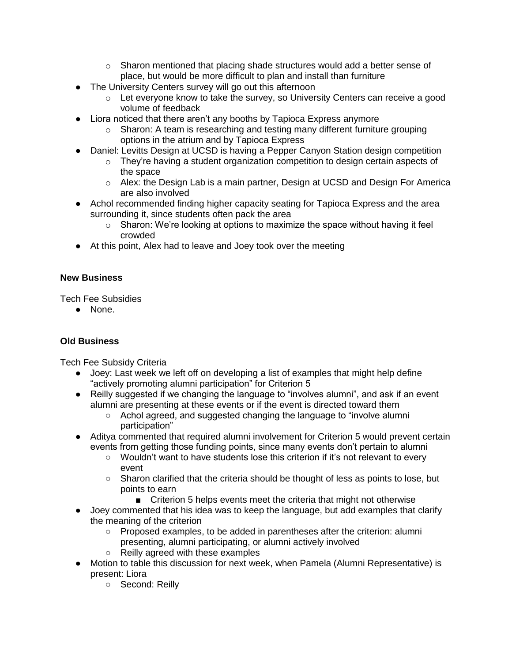- $\circ$  Sharon mentioned that placing shade structures would add a better sense of place, but would be more difficult to plan and install than furniture
- The University Centers survey will go out this afternoon
	- $\circ$  Let everyone know to take the survey, so University Centers can receive a good volume of feedback
- Liora noticed that there aren't any booths by Tapioca Express anymore
	- $\circ$  Sharon: A team is researching and testing many different furniture grouping options in the atrium and by Tapioca Express
- Daniel: Levitts Design at UCSD is having a Pepper Canyon Station design competition
	- o They're having a student organization competition to design certain aspects of the space
	- $\circ$  Alex: the Design Lab is a main partner, Design at UCSD and Design For America are also involved
- Achol recommended finding higher capacity seating for Tapioca Express and the area surrounding it, since students often pack the area
	- $\circ$  Sharon: We're looking at options to maximize the space without having it feel crowded
- At this point, Alex had to leave and Joey took over the meeting

### **New Business**

Tech Fee Subsidies

● None.

# **Old Business**

Tech Fee Subsidy Criteria

- Joey: Last week we left off on developing a list of examples that might help define "actively promoting alumni participation" for Criterion 5
- Reilly suggested if we changing the language to "involves alumni", and ask if an event alumni are presenting at these events or if the event is directed toward them
	- Achol agreed, and suggested changing the language to "involve alumni participation"
- Aditya commented that required alumni involvement for Criterion 5 would prevent certain events from getting those funding points, since many events don't pertain to alumni
	- Wouldn't want to have students lose this criterion if it's not relevant to every event
	- Sharon clarified that the criteria should be thought of less as points to lose, but points to earn
		- Criterion 5 helps events meet the criteria that might not otherwise
- Joey commented that his idea was to keep the language, but add examples that clarify the meaning of the criterion
	- Proposed examples, to be added in parentheses after the criterion: alumni presenting, alumni participating, or alumni actively involved
	- Reilly agreed with these examples
- Motion to table this discussion for next week, when Pamela (Alumni Representative) is present: Liora
	- Second: Reilly